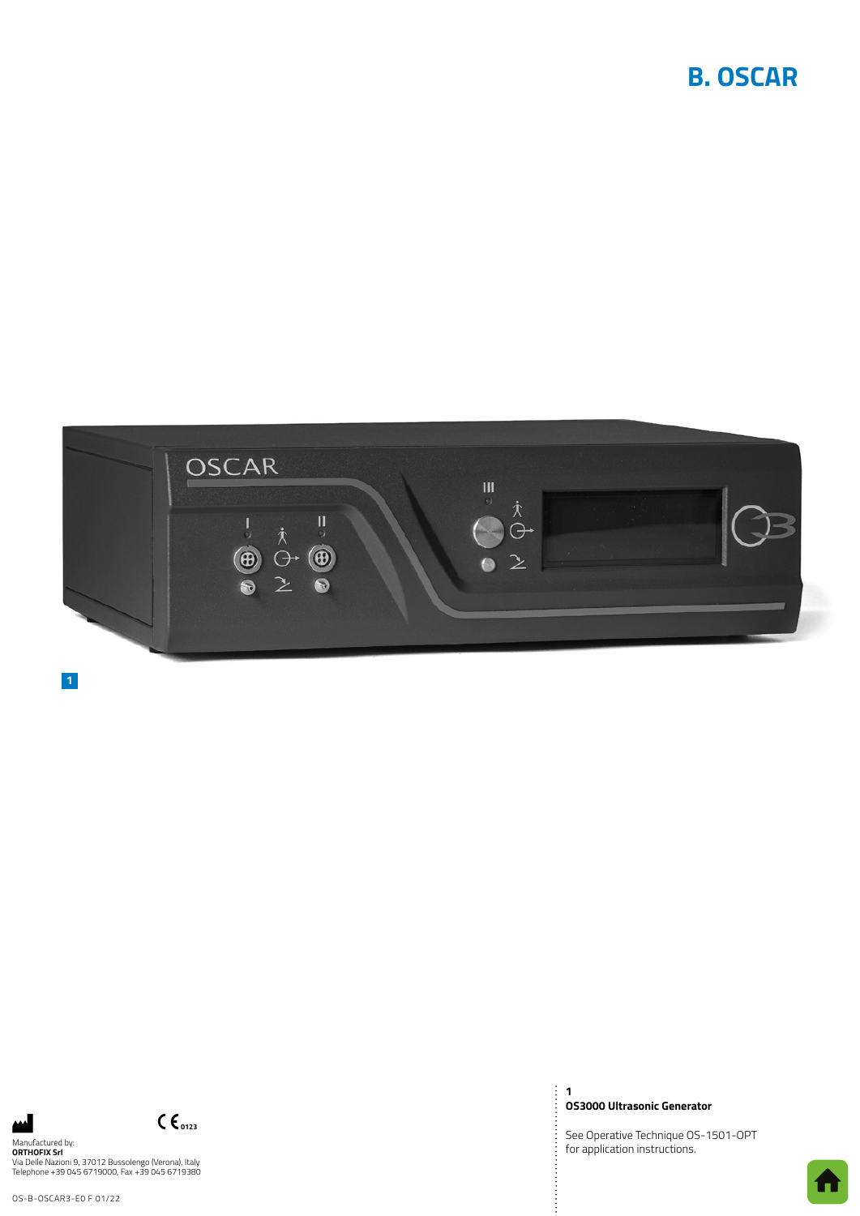# **B. OSCAR**



**1**

Manufactured by:<br>**ORTHOFIX Srl**<br>Via Delle Nazioni 9, 37012 Bussolengo (Verona), Italy<br>Telephone +39 045 6719000, Fax +39 045 6719380

 $C_{0123}$ 

OS-B-OSCAR3-E0 F 01/22

**1 OS3000 Ultrasonic Generator**

 $\ddot{\ddot{\cdot}}$ 

See Operative Technique OS-1501-OPT for application instructions.

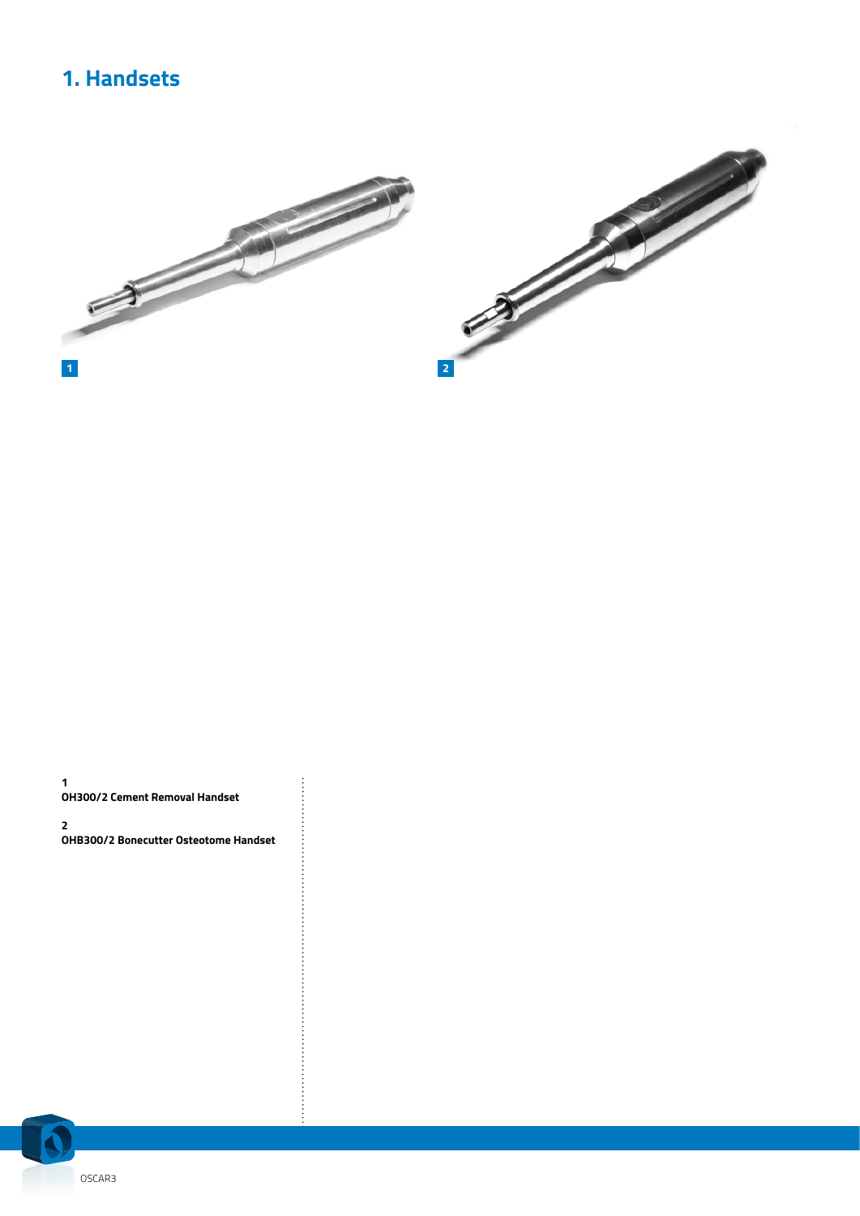# **1. Handsets**



**1 OH300/2 Cement Removal Handset**

**2 OHB300/2 Bonecutter Osteotome Handset** **Production** 

. . . . . . . . . . .

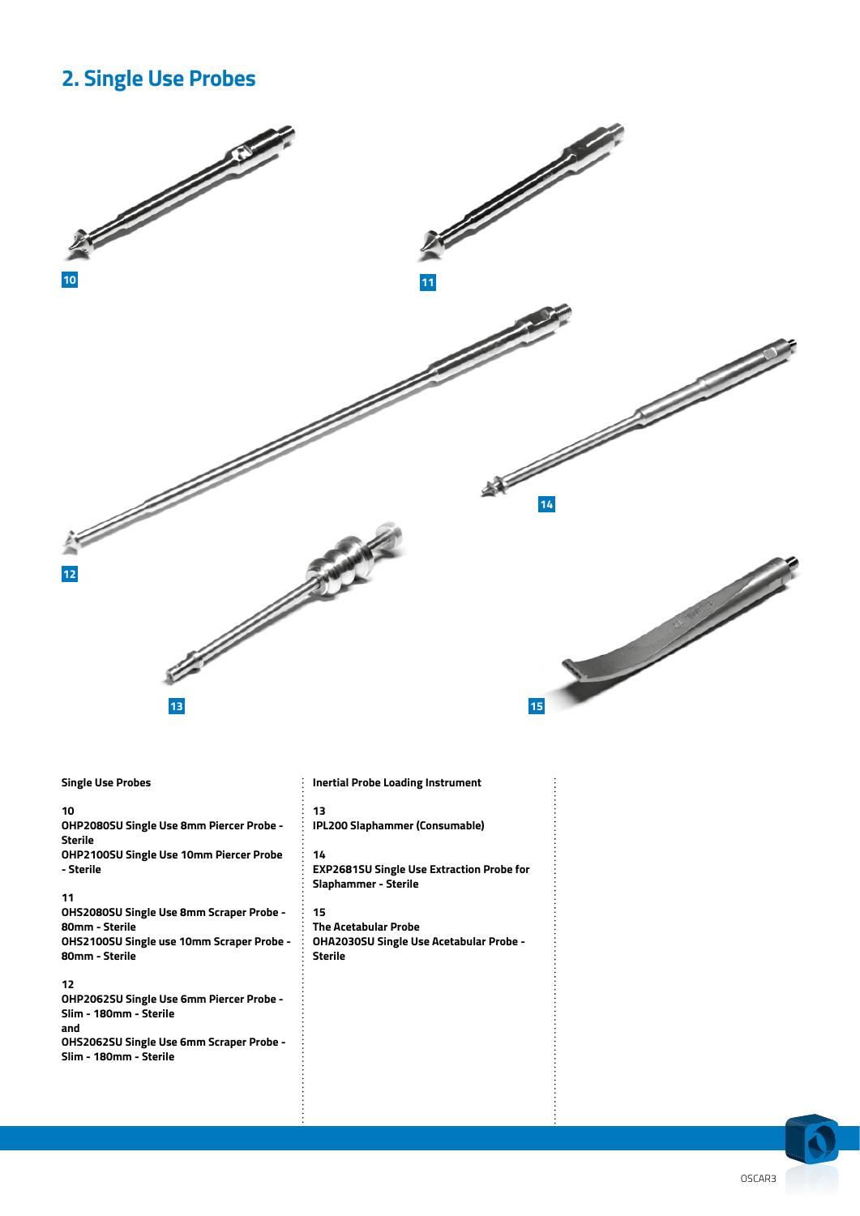### **2. Single Use Probes**



#### **Single Use Probes**

#### **10**

**OHP2080SU Single Use 8mm Piercer Probe - Sterile OHP2100SU Single Use 10mm Piercer Probe - Sterile**

**11 OHS2080SU Single Use 8mm Scraper Probe - 80mm - Sterile OHS2100SU Single use 10mm Scraper Probe - 80mm - Sterile**

#### **12**

**OHP2062SU Single Use 6mm Piercer Probe - Slim - 180mm - Sterile and OHS2062SU Single Use 6mm Scraper Probe - Slim - 180mm - Sterile** 

#### **Inertial Probe Loading Instrument**

**13 IPL200 Slaphammer (Consumable)**

#### **14**

**EXP2681SU Single Use Extraction Probe for Slaphammer - Sterile**

#### **15**

**The Acetabular Probe OHA2030SU Single Use Acetabular Probe - Sterile**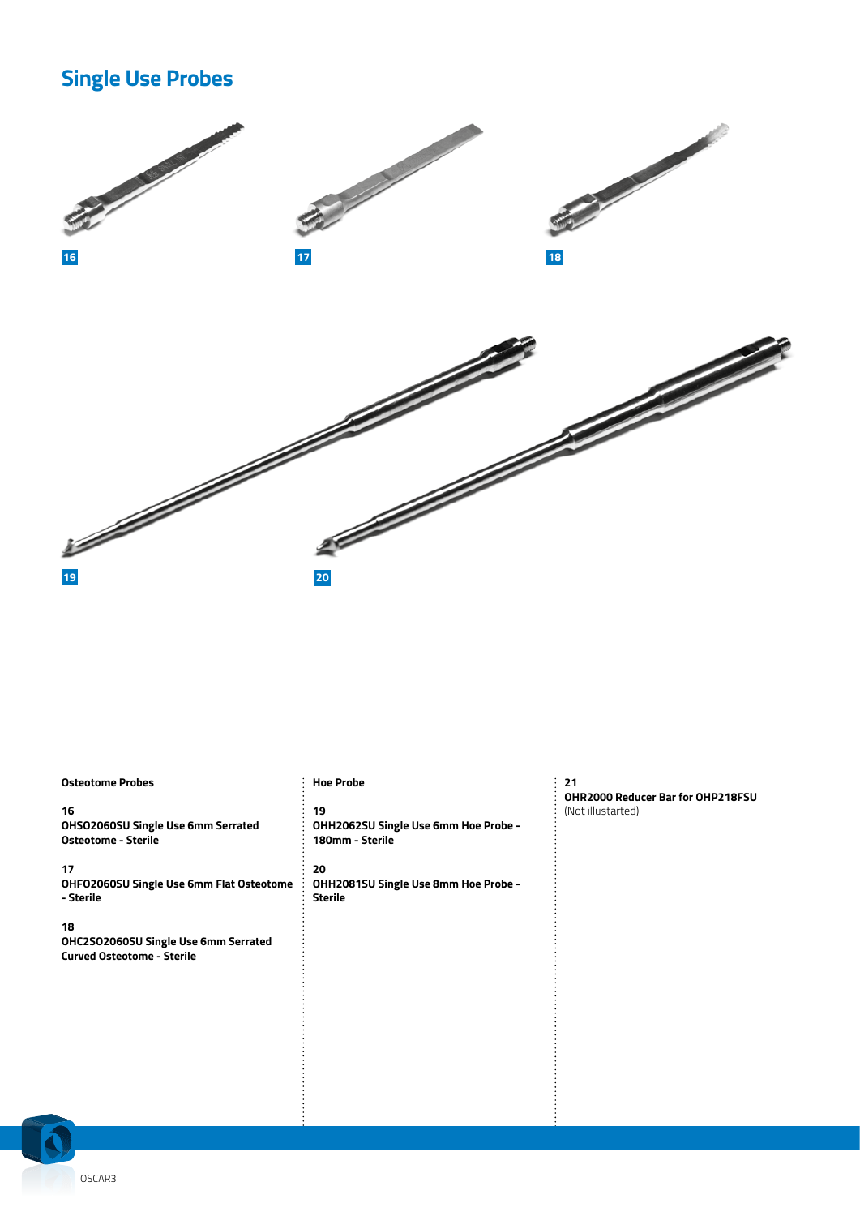## **Single Use Probes**



#### **Osteotome Probes 16 OHSO2060SU Single Use 6mm Serrated Osteotome - Sterile 17 OHFO2060SU Single Use 6mm Flat Osteotome - Sterile 18 19 20 Sterile**

**OHC2SO2060SU Single Use 6mm Serrated Curved Osteotome - Sterile**

#### **Hoe Probe**

**OHH2062SU Single Use 6mm Hoe Probe - 180mm - Sterile**

# **OHH2081SU Single Use 8mm Hoe Probe -**

**21 OHR2000 Reducer Bar for OHP218FSU** (Not illustarted)

OSCAR3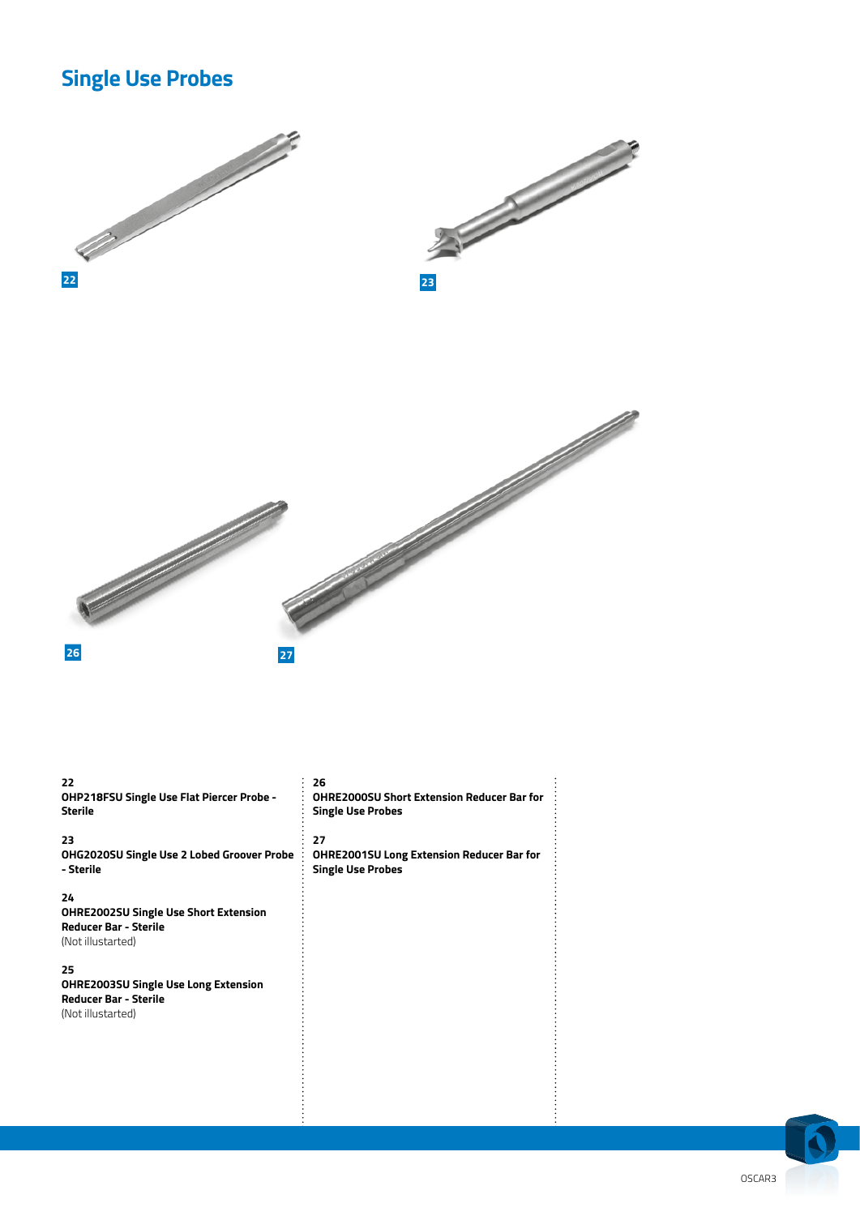## **Single Use Probes**



**22 OHP218FSU Single Use Flat Piercer Probe - Sterile**

**23**

**OHG2020SU Single Use 2 Lobed Groover Probe**   $\vdots$ **- Sterile**

**24**

**OHRE2002SU Single Use Short Extension Reducer Bar - Sterile** (Not illustarted)

**25**

**OHRE2003SU Single Use Long Extension Reducer Bar - Sterile** (Not illustarted)

**26**

**OHRE2000SU Short Extension Reducer Bar for Single Use Probes**

**27**

**OHRE2001SU Long Extension Reducer Bar for Single Use Probes**